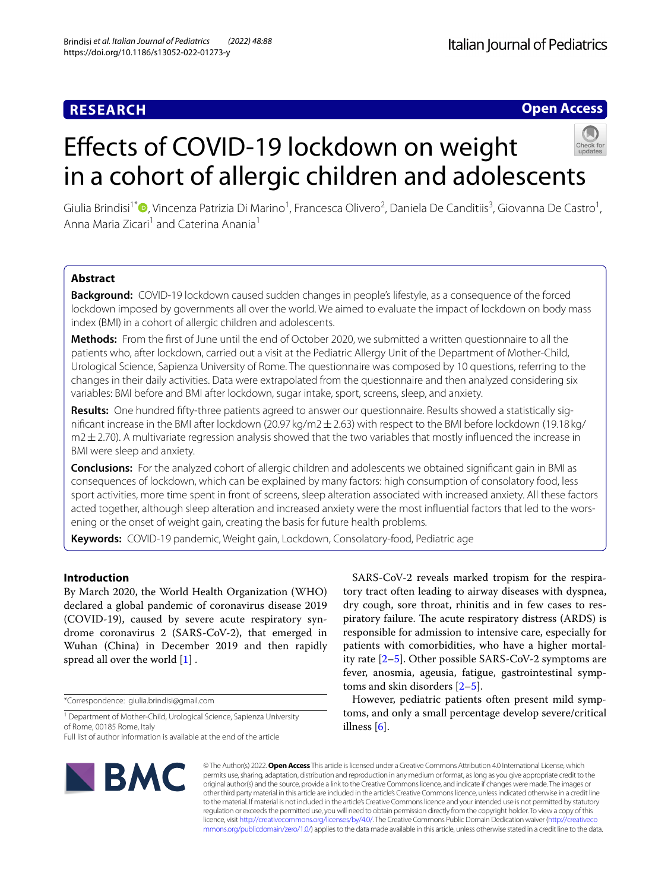# **RESEARCH**

## **Open Access**

# Efects of COVID-19 lockdown on weight in a cohort of allergic children and adolescents



Giulia Brindisi<sup>1\*</sup> <sup>(</sup>)[,](http://orcid.org/0000-0001-5059-6082) Vincenza Patrizia Di Marino<sup>1</sup>, Francesca Olivero<sup>2</sup>, Daniela De Canditiis<sup>3</sup>, Giovanna De Castro<sup>1</sup>, Anna Maria Zicari<sup>1</sup> and Caterina Anania<sup>1</sup>

## **Abstract**

**Background:** COVID-19 lockdown caused sudden changes in people's lifestyle, as a consequence of the forced lockdown imposed by governments all over the world. We aimed to evaluate the impact of lockdown on body mass index (BMI) in a cohort of allergic children and adolescents.

**Methods:** From the frst of June until the end of October 2020, we submitted a written questionnaire to all the patients who, after lockdown, carried out a visit at the Pediatric Allergy Unit of the Department of Mother-Child, Urological Science, Sapienza University of Rome. The questionnaire was composed by 10 questions, referring to the changes in their daily activities. Data were extrapolated from the questionnaire and then analyzed considering six variables: BMI before and BMI after lockdown, sugar intake, sport, screens, sleep, and anxiety.

**Results:** One hundred ffty-three patients agreed to answer our questionnaire. Results showed a statistically signifcant increase in the BMI after lockdown (20.97 kg/m2±2.63) with respect to the BMI before lockdown (19.18 kg/  $m2 \pm 2.70$ ). A multivariate regression analysis showed that the two variables that mostly influenced the increase in BMI were sleep and anxiety.

**Conclusions:** For the analyzed cohort of allergic children and adolescents we obtained signifcant gain in BMI as consequences of lockdown, which can be explained by many factors: high consumption of consolatory food, less sport activities, more time spent in front of screens, sleep alteration associated with increased anxiety. All these factors acted together, although sleep alteration and increased anxiety were the most infuential factors that led to the worsening or the onset of weight gain, creating the basis for future health problems.

**Keywords:** COVID-19 pandemic, Weight gain, Lockdown, Consolatory-food, Pediatric age

## **Introduction**

By March 2020, the World Health Organization (WHO) declared a global pandemic of coronavirus disease 2019 (COVID-19), caused by severe acute respiratory syndrome coronavirus 2 (SARS-CoV-2), that emerged in Wuhan (China) in December 2019 and then rapidly spread all over the world [[1](#page-5-0)] .

\*Correspondence: giulia.brindisi@gmail.com

<sup>1</sup> Department of Mother-Child, Urological Science, Sapienza University of Rome, 00185 Rome, Italy

Full list of author information is available at the end of the article



SARS-CoV-2 reveals marked tropism for the respiratory tract often leading to airway diseases with dyspnea, dry cough, sore throat, rhinitis and in few cases to respiratory failure. The acute respiratory distress (ARDS) is responsible for admission to intensive care, especially for patients with comorbidities, who have a higher mortality rate [\[2–](#page-5-1)[5\]](#page-5-2). Other possible SARS-CoV-2 symptoms are fever, anosmia, ageusia, fatigue, gastrointestinal symptoms and skin disorders [\[2](#page-5-1)[–5](#page-5-2)].

However, pediatric patients often present mild symptoms, and only a small percentage develop severe/critical illness  $[6]$  $[6]$  $[6]$ .

© The Author(s) 2022. **Open Access** This article is licensed under a Creative Commons Attribution 4.0 International License, which permits use, sharing, adaptation, distribution and reproduction in any medium or format, as long as you give appropriate credit to the original author(s) and the source, provide a link to the Creative Commons licence, and indicate if changes were made. The images or other third party material in this article are included in the article's Creative Commons licence, unless indicated otherwise in a credit line to the material. If material is not included in the article's Creative Commons licence and your intended use is not permitted by statutory regulation or exceeds the permitted use, you will need to obtain permission directly from the copyright holder. To view a copy of this licence, visit [http://creativecommons.org/licenses/by/4.0/.](http://creativecommons.org/licenses/by/4.0/) The Creative Commons Public Domain Dedication waiver ([http://creativeco](http://creativecommons.org/publicdomain/zero/1.0/) [mmons.org/publicdomain/zero/1.0/](http://creativecommons.org/publicdomain/zero/1.0/)) applies to the data made available in this article, unless otherwise stated in a credit line to the data.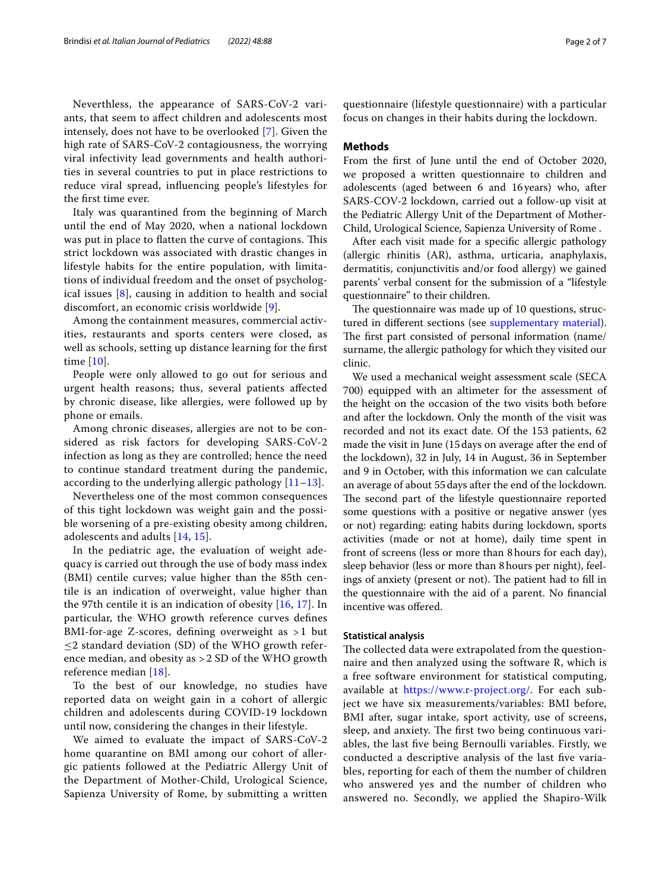Neverthless, the appearance of SARS-CoV-2 variants, that seem to afect children and adolescents most intensely, does not have to be overlooked [\[7](#page-5-4)]. Given the high rate of SARS-CoV-2 contagiousness, the worrying viral infectivity lead governments and health authorities in several countries to put in place restrictions to reduce viral spread, infuencing people's lifestyles for the frst time ever.

Italy was quarantined from the beginning of March until the end of May 2020, when a national lockdown was put in place to flatten the curve of contagions. This strict lockdown was associated with drastic changes in lifestyle habits for the entire population, with limitations of individual freedom and the onset of psychological issues [\[8](#page-5-5)], causing in addition to health and social discomfort, an economic crisis worldwide [\[9\]](#page-5-6).

Among the containment measures, commercial activities, restaurants and sports centers were closed, as well as schools, setting up distance learning for the frst time [[10\]](#page-5-7).

People were only allowed to go out for serious and urgent health reasons; thus, several patients afected by chronic disease, like allergies, were followed up by phone or emails.

Among chronic diseases, allergies are not to be considered as risk factors for developing SARS-CoV-2 infection as long as they are controlled; hence the need to continue standard treatment during the pandemic, according to the underlying allergic pathology  $[11-13]$  $[11-13]$  $[11-13]$ .

Nevertheless one of the most common consequences of this tight lockdown was weight gain and the possible worsening of a pre-existing obesity among children, adolescents and adults [\[14](#page-6-2), [15](#page-6-3)].

In the pediatric age, the evaluation of weight adequacy is carried out through the use of body mass index (BMI) centile curves; value higher than the 85th centile is an indication of overweight, value higher than the 97th centile it is an indication of obesity [[16](#page-6-4), [17](#page-6-5)]. In particular, the WHO growth reference curves defnes BMI-for-age Z-scores, defning overweight as > 1 but  $\leq$ 2 standard deviation (SD) of the WHO growth reference median, and obesity as > 2 SD of the WHO growth reference median [[18\]](#page-6-6).

To the best of our knowledge, no studies have reported data on weight gain in a cohort of allergic children and adolescents during COVID-19 lockdown until now, considering the changes in their lifestyle.

We aimed to evaluate the impact of SARS-CoV-2 home quarantine on BMI among our cohort of allergic patients followed at the Pediatric Allergy Unit of the Department of Mother-Child, Urological Science, Sapienza University of Rome, by submitting a written

questionnaire (lifestyle questionnaire) with a particular focus on changes in their habits during the lockdown.

#### **Methods**

From the frst of June until the end of October 2020, we proposed a written questionnaire to children and adolescents (aged between 6 and 16years) who, after SARS-COV-2 lockdown, carried out a follow-up visit at the Pediatric Allergy Unit of the Department of Mother-Child, Urological Science, Sapienza University of Rome .

After each visit made for a specifc allergic pathology (allergic rhinitis (AR), asthma, urticaria, anaphylaxis, dermatitis, conjunctivitis and/or food allergy) we gained parents' verbal consent for the submission of a "lifestyle questionnaire" to their children.

The questionnaire was made up of 10 questions, structured in different sections (see [supplementary material](#page-5-8)). The first part consisted of personal information (name/ surname, the allergic pathology for which they visited our clinic.

We used a mechanical weight assessment scale (SECA 700) equipped with an altimeter for the assessment of the height on the occasion of the two visits both before and after the lockdown. Only the month of the visit was recorded and not its exact date. Of the 153 patients, 62 made the visit in June (15days on average after the end of the lockdown), 32 in July, 14 in August, 36 in September and 9 in October, with this information we can calculate an average of about 55days after the end of the lockdown. The second part of the lifestyle questionnaire reported some questions with a positive or negative answer (yes or not) regarding: eating habits during lockdown, sports activities (made or not at home), daily time spent in front of screens (less or more than 8hours for each day), sleep behavior (less or more than 8hours per night), feelings of anxiety (present or not). The patient had to fill in the questionnaire with the aid of a parent. No fnancial incentive was ofered.

#### **Statistical analysis**

The collected data were extrapolated from the questionnaire and then analyzed using the software R, which is a free software environment for statistical computing, available at [https://www.r-project.org/.](https://www.r-project.org/) For each subject we have six measurements/variables: BMI before, BMI after, sugar intake, sport activity, use of screens, sleep, and anxiety. The first two being continuous variables, the last fve being Bernoulli variables. Firstly, we conducted a descriptive analysis of the last fve variables, reporting for each of them the number of children who answered yes and the number of children who answered no. Secondly, we applied the Shapiro-Wilk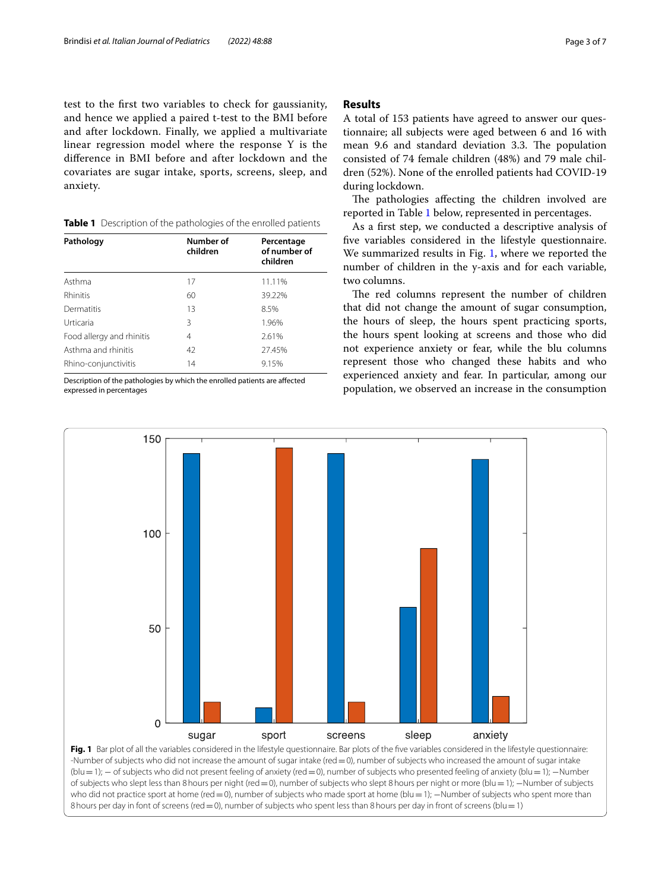test to the frst two variables to check for gaussianity, and hence we applied a paired t-test to the BMI before and after lockdown. Finally, we applied a multivariate linear regression model where the response Y is the diference in BMI before and after lockdown and the covariates are sugar intake, sports, screens, sleep, and anxiety.

<span id="page-2-0"></span>

|  |  |  | Table 1 Description of the pathologies of the enrolled patients |  |  |
|--|--|--|-----------------------------------------------------------------|--|--|
|--|--|--|-----------------------------------------------------------------|--|--|

| Pathology                 | Number of<br>children | Percentage<br>of number of<br>children |  |
|---------------------------|-----------------------|----------------------------------------|--|
| Asthma                    | 17                    | 11.11%                                 |  |
| Rhinitis                  | 60                    | 39.22%                                 |  |
| Dermatitis                | 13                    | 8.5%                                   |  |
| Urticaria                 | 3                     | 1.96%                                  |  |
| Food allergy and rhinitis | 4                     | 2.61%                                  |  |
| Asthma and rhinitis       | 42                    | 27.45%                                 |  |
| Rhino-conjunctivitis      | 14                    | 9.15%                                  |  |

Description of the pathologies by which the enrolled patients are afected expressed in percentages

## **Results**

A total of 153 patients have agreed to answer our questionnaire; all subjects were aged between 6 and 16 with mean 9.6 and standard deviation 3.3. The population consisted of 74 female children (48%) and 79 male children (52%). None of the enrolled patients had COVID-19 during lockdown.

The pathologies affecting the children involved are reported in Table [1](#page-2-0) below, represented in percentages.

As a frst step, we conducted a descriptive analysis of fve variables considered in the lifestyle questionnaire. We summarized results in Fig. [1](#page-2-1), where we reported the number of children in the y-axis and for each variable, two columns.

The red columns represent the number of children that did not change the amount of sugar consumption, the hours of sleep, the hours spent practicing sports, the hours spent looking at screens and those who did not experience anxiety or fear, while the blu columns represent those who changed these habits and who experienced anxiety and fear. In particular, among our population, we observed an increase in the consumption



<span id="page-2-1"></span>-Number of subjects who did not increase the amount of sugar intake (red=0), number of subjects who increased the amount of sugar intake (blu=1); − of subjects who did not present feeling of anxiety (red=0), number of subjects who presented feeling of anxiety (blu=1); −Number of subjects who slept less than 8hours per night (red=0), number of subjects who slept 8hours per night or more (blu=1); −Number of subjects who did not practice sport at home (red = 0), number of subjects who made sport at home (blu = 1); −Number of subjects who spent more than 8 hours per day in font of screens (red = 0), number of subjects who spent less than 8 hours per day in front of screens (blu = 1)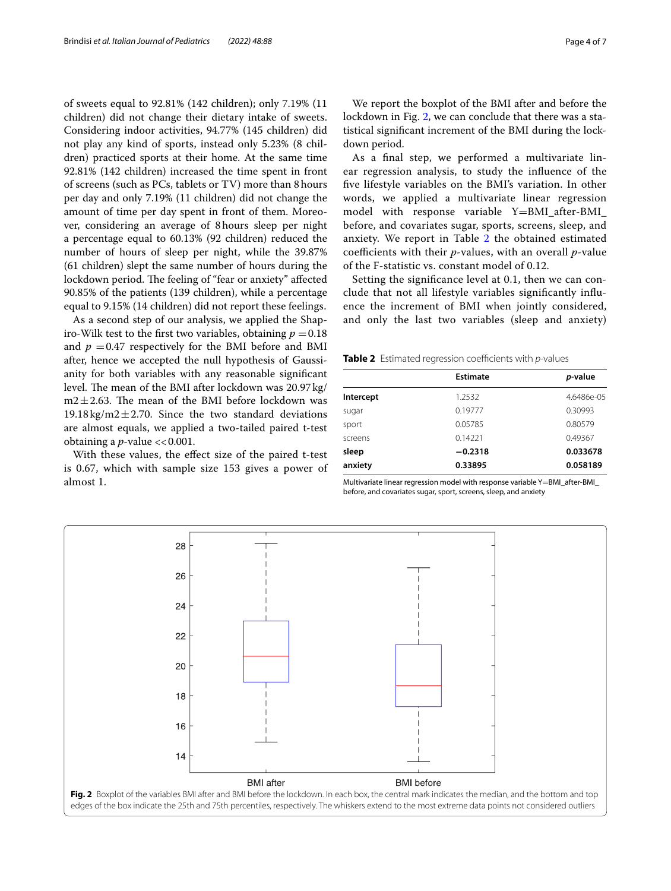of sweets equal to 92.81% (142 children); only 7.19% (11 children) did not change their dietary intake of sweets. Considering indoor activities, 94.77% (145 children) did not play any kind of sports, instead only 5.23% (8 children) practiced sports at their home. At the same time 92.81% (142 children) increased the time spent in front of screens (such as PCs, tablets or TV) more than 8hours per day and only 7.19% (11 children) did not change the amount of time per day spent in front of them. Moreover, considering an average of 8hours sleep per night a percentage equal to 60.13% (92 children) reduced the number of hours of sleep per night, while the 39.87% (61 children) slept the same number of hours during the lockdown period. The feeling of "fear or anxiety" affected 90.85% of the patients (139 children), while a percentage equal to 9.15% (14 children) did not report these feelings.

As a second step of our analysis, we applied the Shapiro-Wilk test to the first two variables, obtaining  $p = 0.18$ and  $p = 0.47$  respectively for the BMI before and BMI after, hence we accepted the null hypothesis of Gaussianity for both variables with any reasonable signifcant level. The mean of the BMI after lockdown was  $20.97 \text{ kg}$ /  $m2 \pm 2.63$ . The mean of the BMI before lockdown was  $19.18 \text{ kg/m}2 \pm 2.70$ . Since the two standard deviations are almost equals, we applied a two-tailed paired t-test obtaining a  $p$ -value  $<< 0.001$ .

With these values, the efect size of the paired t-test is 0.67, which with sample size 153 gives a power of almost 1.

We report the boxplot of the BMI after and before the lockdown in Fig. [2](#page-3-0), we can conclude that there was a statistical signifcant increment of the BMI during the lockdown period.

As a fnal step, we performed a multivariate linear regression analysis, to study the infuence of the fve lifestyle variables on the BMI's variation. In other words, we applied a multivariate linear regression model with response variable Y=BMI\_after-BMI\_ before, and covariates sugar, sports, screens, sleep, and anxiety. We report in Table [2](#page-3-1) the obtained estimated coefficients with their *p*-values, with an overall *p*-value of the F-statistic vs. constant model of 0.12.

Setting the signifcance level at 0.1, then we can conclude that not all lifestyle variables signifcantly infuence the increment of BMI when jointly considered, and only the last two variables (sleep and anxiety)

<span id="page-3-1"></span>**Table 2** Estimated regression coefficients with *p*-values

|           | p-value         |  |
|-----------|-----------------|--|
| 1.2532    | 4.6486e-05      |  |
| 0.19777   | 0.30993         |  |
| 0.05785   | 0.80579         |  |
| 0.14221   | 0.49367         |  |
| $-0.2318$ | 0.033678        |  |
| 0.33895   | 0.058189        |  |
|           | <b>Estimate</b> |  |

Multivariate linear regression model with response variable Y=BMI\_after-BMI\_ before, and covariates sugar, sport, screens, sleep, and anxiety

<span id="page-3-0"></span>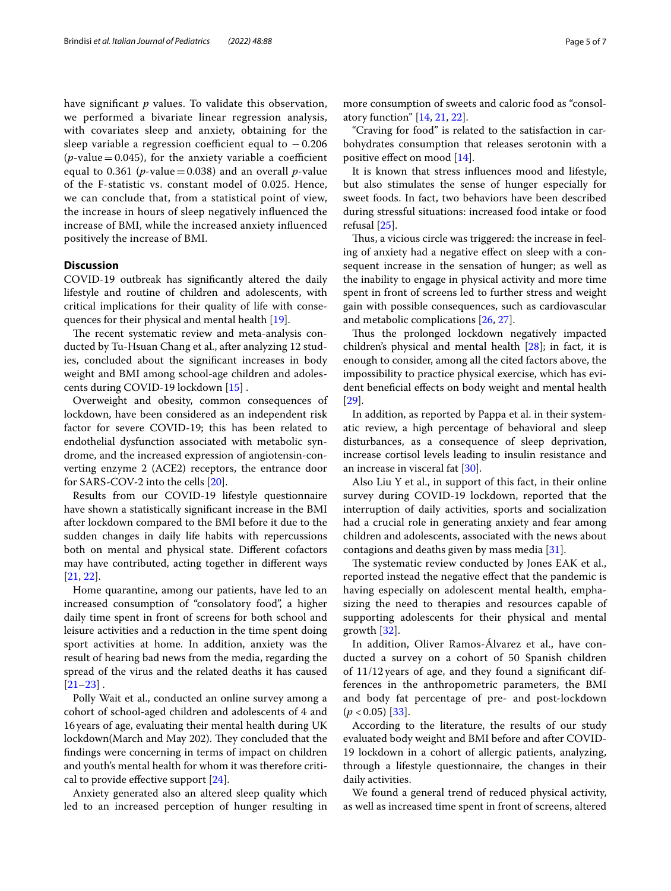have signifcant *p* values. To validate this observation, we performed a bivariate linear regression analysis, with covariates sleep and anxiety, obtaining for the sleep variable a regression coefficient equal to  $-0.206$ ( $p$ -value = 0.045), for the anxiety variable a coefficient equal to 0.361 ( $p$ -value = 0.038) and an overall  $p$ -value of the F-statistic vs. constant model of 0.025. Hence, we can conclude that, from a statistical point of view, the increase in hours of sleep negatively infuenced the increase of BMI, while the increased anxiety infuenced positively the increase of BMI.

## **Discussion**

COVID-19 outbreak has signifcantly altered the daily lifestyle and routine of children and adolescents, with critical implications for their quality of life with consequences for their physical and mental health [[19](#page-6-7)].

The recent systematic review and meta-analysis conducted by Tu-Hsuan Chang et al., after analyzing 12 studies, concluded about the signifcant increases in body weight and BMI among school-age children and adolescents during COVID-19 lockdown [\[15\]](#page-6-3) .

Overweight and obesity, common consequences of lockdown, have been considered as an independent risk factor for severe COVID-19; this has been related to endothelial dysfunction associated with metabolic syndrome, and the increased expression of angiotensin-converting enzyme 2 (ACE2) receptors, the entrance door for SARS-COV-2 into the cells [[20\]](#page-6-8).

Results from our COVID-19 lifestyle questionnaire have shown a statistically signifcant increase in the BMI after lockdown compared to the BMI before it due to the sudden changes in daily life habits with repercussions both on mental and physical state. Diferent cofactors may have contributed, acting together in diferent ways [[21,](#page-6-9) [22](#page-6-10)].

Home quarantine, among our patients, have led to an increased consumption of "consolatory food", a higher daily time spent in front of screens for both school and leisure activities and a reduction in the time spent doing sport activities at home. In addition, anxiety was the result of hearing bad news from the media, regarding the spread of the virus and the related deaths it has caused  $[21-23]$  $[21-23]$  $[21-23]$ .

Polly Wait et al., conducted an online survey among a cohort of school-aged children and adolescents of 4 and 16years of age, evaluating their mental health during UK lockdown(March and May 202). They concluded that the fndings were concerning in terms of impact on children and youth's mental health for whom it was therefore critical to provide efective support [[24](#page-6-12)].

Anxiety generated also an altered sleep quality which led to an increased perception of hunger resulting in more consumption of sweets and caloric food as "consolatory function" [[14,](#page-6-2) [21](#page-6-9), [22](#page-6-10)].

"Craving for food" is related to the satisfaction in carbohydrates consumption that releases serotonin with a positive efect on mood [\[14](#page-6-2)].

It is known that stress infuences mood and lifestyle, but also stimulates the sense of hunger especially for sweet foods. In fact, two behaviors have been described during stressful situations: increased food intake or food refusal [[25](#page-6-13)].

Thus, a vicious circle was triggered: the increase in feeling of anxiety had a negative efect on sleep with a consequent increase in the sensation of hunger; as well as the inability to engage in physical activity and more time spent in front of screens led to further stress and weight gain with possible consequences, such as cardiovascular and metabolic complications [[26,](#page-6-14) [27](#page-6-15)].

Thus the prolonged lockdown negatively impacted children's physical and mental health [\[28\]](#page-6-16); in fact, it is enough to consider, among all the cited factors above, the impossibility to practice physical exercise, which has evident benefcial efects on body weight and mental health [[29\]](#page-6-17).

In addition, as reported by Pappa et al. in their systematic review, a high percentage of behavioral and sleep disturbances, as a consequence of sleep deprivation, increase cortisol levels leading to insulin resistance and an increase in visceral fat [[30](#page-6-18)].

Also Liu Y et al., in support of this fact, in their online survey during COVID-19 lockdown, reported that the interruption of daily activities, sports and socialization had a crucial role in generating anxiety and fear among children and adolescents, associated with the news about contagions and deaths given by mass media [[31](#page-6-19)].

The systematic review conducted by Jones EAK et al., reported instead the negative efect that the pandemic is having especially on adolescent mental health, emphasizing the need to therapies and resources capable of supporting adolescents for their physical and mental growth [[32\]](#page-6-20).

In addition, Oliver Ramos-Álvarez et al., have conducted a survey on a cohort of 50 Spanish children of 11/12 years of age, and they found a signifcant differences in the anthropometric parameters, the BMI and body fat percentage of pre- and post-lockdown  $(p < 0.05)$  [[33\]](#page-6-21).

According to the literature, the results of our study evaluated body weight and BMI before and after COVID-19 lockdown in a cohort of allergic patients, analyzing, through a lifestyle questionnaire, the changes in their daily activities.

We found a general trend of reduced physical activity, as well as increased time spent in front of screens, altered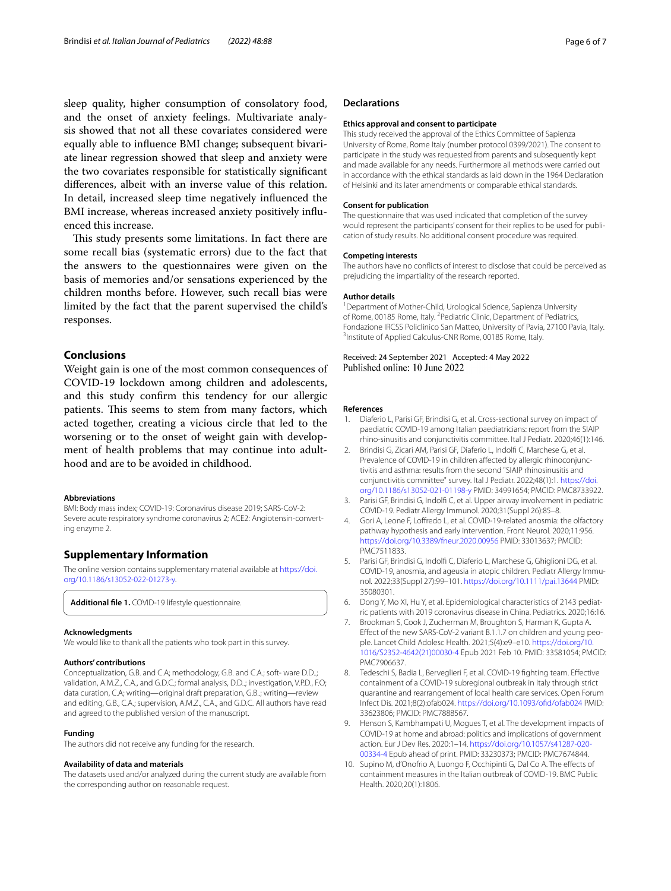sleep quality, higher consumption of consolatory food, and the onset of anxiety feelings. Multivariate analysis showed that not all these covariates considered were equally able to infuence BMI change; subsequent bivariate linear regression showed that sleep and anxiety were the two covariates responsible for statistically signifcant diferences, albeit with an inverse value of this relation. In detail, increased sleep time negatively infuenced the BMI increase, whereas increased anxiety positively infuenced this increase.

This study presents some limitations. In fact there are some recall bias (systematic errors) due to the fact that the answers to the questionnaires were given on the basis of memories and/or sensations experienced by the children months before. However, such recall bias were limited by the fact that the parent supervised the child's responses.

### **Conclusions**

Weight gain is one of the most common consequences of COVID-19 lockdown among children and adolescents, and this study confrm this tendency for our allergic patients. This seems to stem from many factors, which acted together, creating a vicious circle that led to the worsening or to the onset of weight gain with development of health problems that may continue into adulthood and are to be avoided in childhood.

#### **Abbreviations**

BMI: Body mass index; COVID-19: Coronavirus disease 2019; SARS-CoV-2: Severe acute respiratory syndrome coronavirus 2; ACE2: Angiotensin-converting enzyme 2.

## **Supplementary Information**

The online version contains supplementary material available at [https://doi.](https://doi.org/10.1186/s13052-022-01273-y) [org/10.1186/s13052-022-01273-y.](https://doi.org/10.1186/s13052-022-01273-y)

<span id="page-5-8"></span>**Additional fle 1.** COVID-19 lifestyle questionnaire.

#### **Acknowledgments**

We would like to thank all the patients who took part in this survey.

#### **Authors' contributions**

Conceptualization, G.B. and C.A; methodology, G.B. and C.A.; soft- ware D.D..; validation, A.M.Z., C.A., and G.D.C.; formal analysis, D.D..; investigation, V.P.D., F.O; data curation, C.A; writing—original draft preparation, G.B..; writing—review and editing, G.B., C.A.; supervision, A.M.Z., C.A., and G.D.C. All authors have read and agreed to the published version of the manuscript.

#### **Funding**

The authors did not receive any funding for the research.

#### **Availability of data and materials**

The datasets used and/or analyzed during the current study are available from the corresponding author on reasonable request.

#### **Declarations**

#### **Ethics approval and consent to participate**

This study received the approval of the Ethics Committee of Sapienza University of Rome, Rome Italy (number protocol 0399/2021). The consent to participate in the study was requested from parents and subsequently kept and made available for any needs. Furthermore all methods were carried out in accordance with the ethical standards as laid down in the 1964 Declaration of Helsinki and its later amendments or comparable ethical standards.

#### **Consent for publication**

The questionnaire that was used indicated that completion of the survey would represent the participants' consent for their replies to be used for publication of study results. No additional consent procedure was required.

#### **Competing interests**

The authors have no conficts of interest to disclose that could be perceived as prejudicing the impartiality of the research reported.

#### **Author details**

<sup>1</sup> Department of Mother-Child, Urological Science, Sapienza University of Rome, 00185 Rome, Italy. <sup>2</sup> Pediatric Clinic, Department of Pediatrics, Fondazione IRCSS Policlinico San Matteo, University of Pavia, 27100 Pavia, Italy. 3 <sup>3</sup> Institute of Applied Calculus-CNR Rome, 00185 Rome, Italy.

Received: 24 September 2021 Accepted: 4 May 2022 Published online: 10 June 2022

#### **References**

- <span id="page-5-0"></span>1. Diaferio L, Parisi GF, Brindisi G, et al. Cross-sectional survey on impact of paediatric COVID-19 among Italian paediatricians: report from the SIAIP rhino-sinusitis and conjunctivitis committee. Ital J Pediatr. 2020;46(1):146.
- <span id="page-5-1"></span>2. Brindisi G, Zicari AM, Parisi GF, Diaferio L, Indolf C, Marchese G, et al. Prevalence of COVID-19 in children afected by allergic rhinoconjunctivitis and asthma: results from the second "SIAIP rhinosinusitis and conjunctivitis committee" survey. Ital J Pediatr. 2022;48(1):1. [https://doi.](https://doi.org/10.1186/s13052-021-01198-y) [org/10.1186/s13052-021-01198-y](https://doi.org/10.1186/s13052-021-01198-y) PMID: 34991654; PMCID: PMC8733922.
- 3. Parisi GF, Brindisi G, Indolf C, et al. Upper airway involvement in pediatric COVID-19. Pediatr Allergy Immunol. 2020;31(Suppl 26):85–8.
- 4. Gori A, Leone F, Lofredo L, et al. COVID-19-related anosmia: the olfactory pathway hypothesis and early intervention. Front Neurol. 2020;11:956. <https://doi.org/10.3389/fneur.2020.00956>PMID: 33013637; PMCID: PMC7511833.
- <span id="page-5-2"></span>5. Parisi GF, Brindisi G, Indolf C, Diaferio L, Marchese G, Ghiglioni DG, et al. COVID-19, anosmia, and ageusia in atopic children. Pediatr Allergy Immunol. 2022;33(Suppl 27):99–101.<https://doi.org/10.1111/pai.13644>PMID: 35080301.
- <span id="page-5-3"></span>6. Dong Y, Mo XI, Hu Y, et al. Epidemiological characteristics of 2143 pediatric patients with 2019 coronavirus disease in China. Pediatrics. 2020;16:16.
- <span id="page-5-4"></span>7. Brookman S, Cook J, Zucherman M, Broughton S, Harman K, Gupta A. Efect of the new SARS-CoV-2 variant B.1.1.7 on children and young people. Lancet Child Adolesc Health. 2021;5(4):e9–e10. [https://doi.org/10.](https://doi.org/10.1016/S2352-4642(21)00030-4) [1016/S2352-4642\(21\)00030-4](https://doi.org/10.1016/S2352-4642(21)00030-4) Epub 2021 Feb 10. PMID: 33581054; PMCID: PMC7906637.
- <span id="page-5-5"></span>8. Tedeschi S, Badia L, Berveglieri F, et al. COVID-19 fghting team. Efective containment of a COVID-19 subregional outbreak in Italy through strict quarantine and rearrangement of local health care services. Open Forum Infect Dis. 2021;8(2):ofab024. [https://doi.org/10.1093/ofd/ofab024](https://doi.org/10.1093/ofid/ofab024) PMID: 33623806; PMCID: PMC7888567.
- <span id="page-5-6"></span>9. Henson S, Kambhampati U, Mogues T, et al. The development impacts of COVID-19 at home and abroad: politics and implications of government action. Eur J Dev Res. 2020:1–14. [https://doi.org/10.1057/s41287-020-](https://doi.org/10.1057/s41287-020-00334-4) [00334-4](https://doi.org/10.1057/s41287-020-00334-4) Epub ahead of print. PMID: 33230373; PMCID: PMC7674844.
- <span id="page-5-7"></span>10. Supino M, d'Onofrio A, Luongo F, Occhipinti G, Dal Co A. The efects of containment measures in the Italian outbreak of COVID-19. BMC Public Health. 2020;20(1):1806.